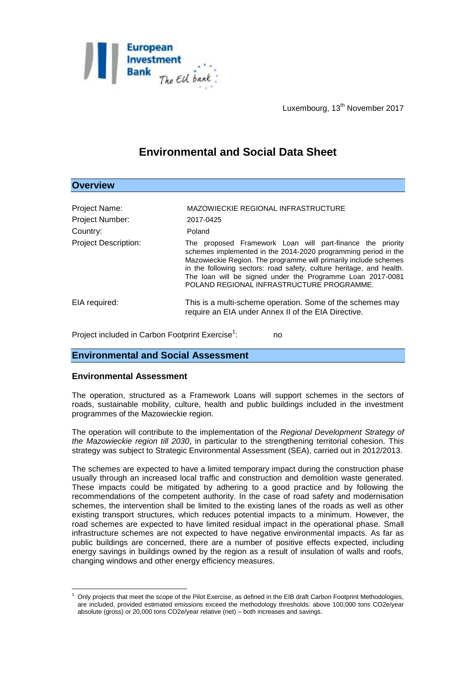

Luxembourg, 13<sup>th</sup> November 2017

# **Environmental and Social Data Sheet**

| <b>Overview</b>             |                                                                                                                                                                                                                                                                                                                                                                                     |
|-----------------------------|-------------------------------------------------------------------------------------------------------------------------------------------------------------------------------------------------------------------------------------------------------------------------------------------------------------------------------------------------------------------------------------|
|                             |                                                                                                                                                                                                                                                                                                                                                                                     |
| Project Name:               | MAZOWIECKIE REGIONAL INFRASTRUCTURE                                                                                                                                                                                                                                                                                                                                                 |
| <b>Project Number:</b>      | 2017-0425                                                                                                                                                                                                                                                                                                                                                                           |
| Country:                    | Poland                                                                                                                                                                                                                                                                                                                                                                              |
| <b>Project Description:</b> | The proposed Framework Loan will part-finance the priority<br>schemes implemented in the 2014-2020 programming period in the<br>Mazowieckie Region. The programme will primarily include schemes<br>in the following sectors: road safety, culture heritage, and health.<br>The loan will be signed under the Programme Loan 2017-0081<br>POLAND REGIONAL INFRASTRUCTURE PROGRAMME. |
| EIA required:               | This is a multi-scheme operation. Some of the schemes may<br>require an EIA under Annex II of the EIA Directive.                                                                                                                                                                                                                                                                    |

Project included in Carbon Footprint Exercise<sup>1</sup>: : no

## **Environmental and Social Assessment**

### **Environmental Assessment**

The operation, structured as a Framework Loans will support schemes in the sectors of roads, sustainable mobility, culture, health and public buildings included in the investment programmes of the Mazowieckie region.

The operation will contribute to the implementation of the *Regional Development Strategy of the Mazowieckie region till 2030*, in particular to the strengthening territorial cohesion. This strategy was subject to Strategic Environmental Assessment (SEA), carried out in 2012/2013.

The schemes are expected to have a limited temporary impact during the construction phase usually through an increased local traffic and construction and demolition waste generated. These impacts could be mitigated by adhering to a good practice and by following the recommendations of the competent authority. In the case of road safety and modernisation schemes, the intervention shall be limited to the existing lanes of the roads as well as other existing transport structures, which reduces potential impacts to a minimum. However, the road schemes are expected to have limited residual impact in the operational phase. Small infrastructure schemes are not expected to have negative environmental impacts. As far as public buildings are concerned, there are a number of positive effects expected, including energy savings in buildings owned by the region as a result of insulation of walls and roofs, changing windows and other energy efficiency measures.

<sup>1</sup> <sup>1</sup> Only projects that meet the scope of the Pilot Exercise, as defined in the EIB draft Carbon Footprint Methodologies, are included, provided estimated emissions exceed the methodology thresholds: above 100,000 tons CO2e/year absolute (gross) or 20,000 tons CO2e/year relative (net) – both increases and savings.